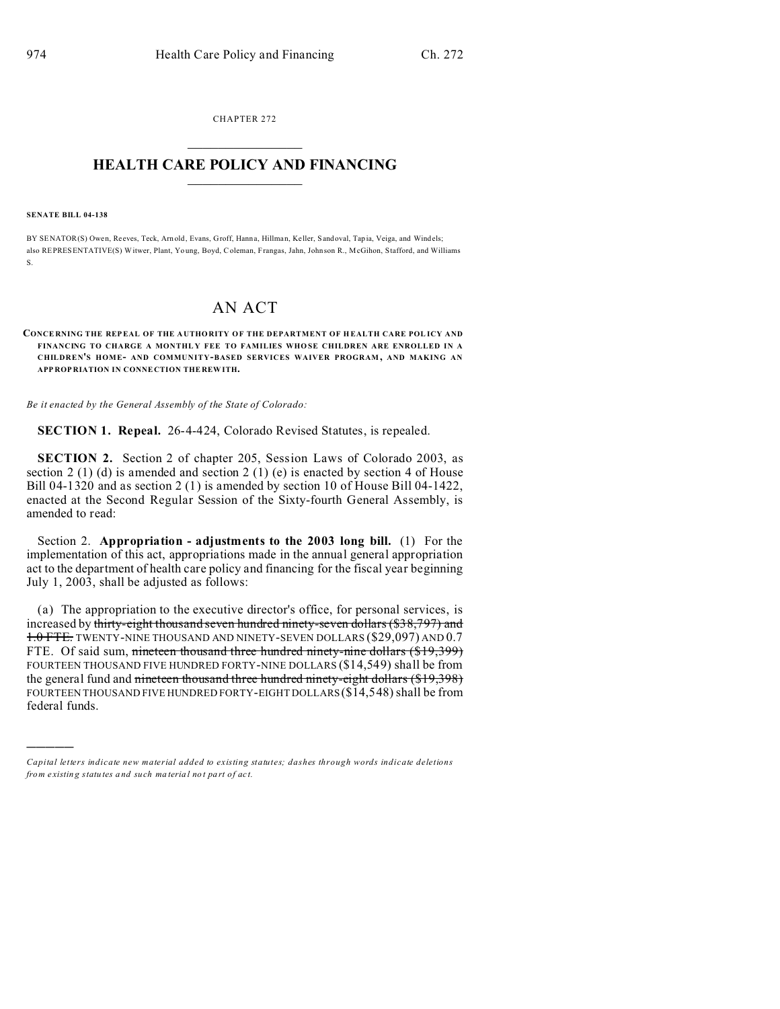CHAPTER 272  $\overline{\phantom{a}}$  , where  $\overline{\phantom{a}}$ 

## **HEALTH CARE POLICY AND FINANCING**  $\_$   $\_$   $\_$   $\_$   $\_$   $\_$   $\_$   $\_$

#### **SENATE BILL 04-138**

)))))

BY SENATOR(S) Owen, Re eves, Teck, Arn old, Evans, Groff, Hann a, Hillman, Keller, Sandoval, Tap ia, Veiga, and Windels; also REPRESENTATIVE(S) Witwer, Plant, Yo ung, Boyd, Coleman, Frangas, Jahn, Johnson R., McGihon, Stafford, and Williams S.

# AN ACT

### **CONCE RNING THE REPEAL OF THE A UTHORITY OF THE DEPARTMENT OF H EALTH CARE POL ICY AND** FINANCING TO CHARGE A MONTHLY FEE TO FAMILIES WHOSE CHILDREN ARE ENROLLED IN A **CHILDREN'S HOME- AND COMMUNITY-BASED SERVICES WAIVER PROGRAM , AND MAKING AN APP ROP RIATION IN CONNE CTION THE REW ITH.**

*Be it enacted by the General Assembly of the State of Colorado:*

**SECTION 1. Repeal.** 26-4-424, Colorado Revised Statutes, is repealed.

**SECTION 2.** Section 2 of chapter 205, Session Laws of Colorado 2003, as section 2 (1) (d) is amended and section 2 (1) (e) is enacted by section 4 of House Bill 04-1320 and as section 2 (1) is amended by section 10 of House Bill 04-1422, enacted at the Second Regular Session of the Sixty-fourth General Assembly, is amended to read:

Section 2. **Appropriation - adjustments to the 2003 long bill.** (1) For the implementation of this act, appropriations made in the annual general appropriation act to the department of health care policy and financing for the fiscal year beginning July 1, 2003, shall be adjusted as follows:

(a) The appropriation to the executive director's office, for personal services, is increased by thirty-eight thousand seven hundred ninety-seven dollars (\$38,797) and 1.0 FTE. TWENTY-NINE THOUSAND AND NINETY-SEVEN DOLLARS (\$29,097) AND 0.7 FTE. Of said sum, nineteen thousand three hundred ninety-nine dollars (\$19,399) FOURTEEN THOUSAND FIVE HUNDRED FORTY-NINE DOLLARS (\$14,549) shall be from the general fund and nineteen thousand three hundred ninety-eight dollars (\$19,398) FOURTEEN THOUSAND FIVE HUNDRED FORTY-EIGHT DOLLARS (\$14,548) shall be from federal funds.

*Capital letters indicate new material added to existing statutes; dashes through words indicate deletions from e xistin g statu tes a nd such ma teria l no t pa rt of ac t.*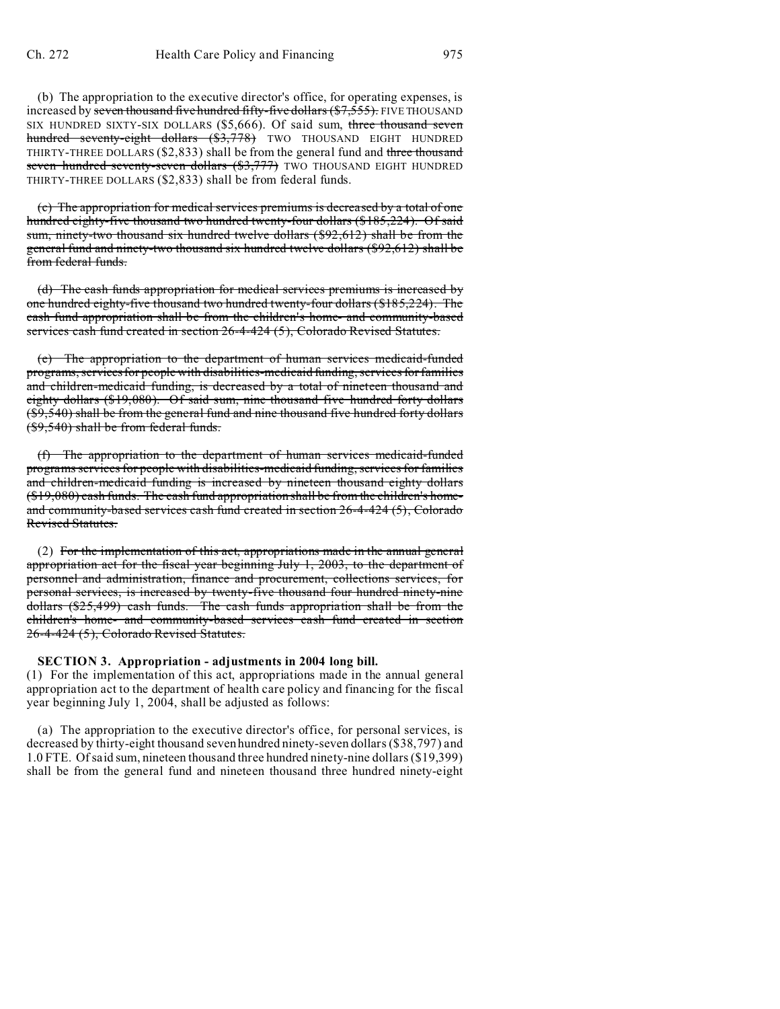(b) The appropriation to the executive director's office, for operating expenses, is increased by seven thousand five hundred fifty-five dollars (\$7,555). FIVE THOUSAND SIX HUNDRED SIXTY-SIX DOLLARS (\$5,666). Of said sum, three thousand seven hundred seventy-eight dollars (\$3,778) TWO THOUSAND EIGHT HUNDRED THIRTY-THREE DOLLARS (\$2,833) shall be from the general fund and three thousand seven hundred seventy-seven dollars (\$3,777) TWO THOUSAND EIGHT HUNDRED THIRTY-THREE DOLLARS (\$2,833) shall be from federal funds.

(c) The appropriation for medical services premiums is decreased by a total of one hundred eighty-five thousand two hundred twenty-four dollars (\$185,224). Of said sum, ninety-two thousand six hundred twelve dollars (\$92,612) shall be from the general fund and ninety-two thousand six hundred twelve dollars (\$92,612) shall be from federal funds.

(d) The cash funds appropriation for medical services premiums is increased by one hundred eighty-five thousand two hundred twenty-four dollars (\$185,224). The cash fund appropriation shall be from the children's home- and community-based services cash fund created in section 26-4-424 (5), Colorado Revised Statutes.

(e) The appropriation to the department of human services medicaid-funded programs, services for people with disabilities-medicaid funding, services for families and children-medicaid funding, is decreased by a total of nineteen thousand and eighty dollars (\$19,080). Of said sum, nine thousand five hundred forty dollars (\$9,540) shall be from the general fund and nine thousand five hundred forty dollars (\$9,540) shall be from federal funds.

(f) The appropriation to the department of human services medicaid-funded programs services for people with disabilities-medicaid funding, services for families and children-medicaid funding is increased by nineteen thousand eighty dollars (\$19,080) cash funds. The cash fund appropriation shall be from the children's homeand community-based services cash fund created in section 26-4-424 (5), Colorado Revised Statutes.

(2) For the implementation of this act, appropriations made in the annual general appropriation act for the fiscal year beginning July 1, 2003, to the department of personnel and administration, finance and procurement, collections services, for personal services, is increased by twenty-five thousand four hundred ninety-nine dollars (\$25,499) cash funds. The cash funds appropriation shall be from the children's home- and community-based services cash fund created in section 26-4-424 (5), Colorado Revised Statutes.

## **SECTION 3. Appropriation - adjustments in 2004 long bill.**

(1) For the implementation of this act, appropriations made in the annual general appropriation act to the department of health care policy and financing for the fiscal year beginning July 1, 2004, shall be adjusted as follows:

(a) The appropriation to the executive director's office, for personal services, is decreased by thirty-eight thousand seven hundred ninety-seven dollars (\$38,797) and 1.0 FTE. Of said sum, nineteen thousand three hundred ninety-nine dollars (\$19,399) shall be from the general fund and nineteen thousand three hundred ninety-eight